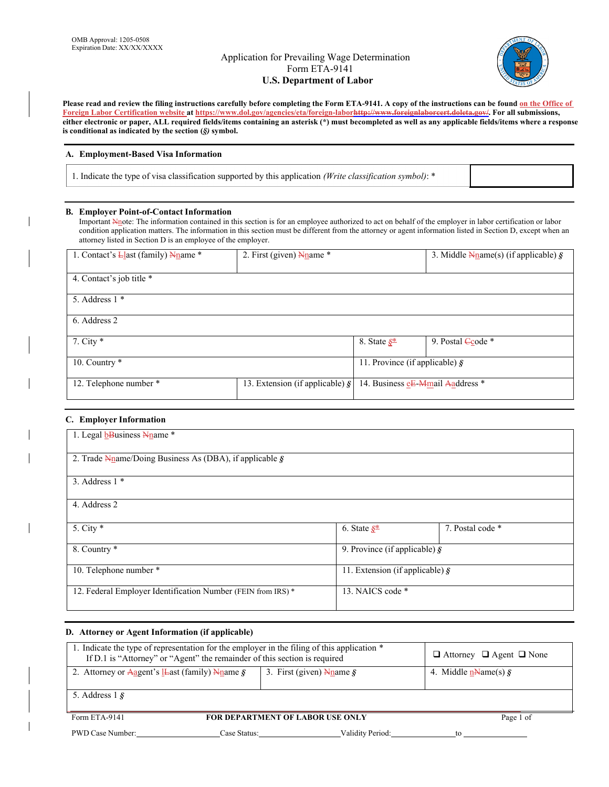# Application for Prevailing Wage Determination Form ETA-9141 **U.S. Department of Labor**



Please read and review the filing instructions carefully before completing the Form ETA-9141. A copy of the instructions can be found on the Office of **Foreign Labor Certification website at https://www.dol.gov/agencies/eta/foreign-laborhttp://www.foreignlaborcert.doleta.gov/. For all submissions, either electronic or paper, ALL required fields/items containing an asterisk (\*) must be completed as well as any applicable fields/items where a response is conditional as indicated by the section (***§)* **symbol.** 

### **A. Employment-Based Visa Information**

1. Indicate the type of visa classification supported by this application *(Write classification symbol)*: \*

### **B. Employer Point-of-Contact Information**

Important Nnote: The information contained in this section is for an employee authorized to act on behalf of the employer in labor certification or labor condition application matters. The information in this section must be different from the attorney or agent information listed in Section D, except when an attorney listed in Section D is an employee of the employer.

| 1. Contact's $\frac{L}{2}$ ast (family) $\frac{N}{2}$ ame * | 2. First (given) $\frac{N_{\text{name}}}{}^*$ |                                        | 3. Middle $\frac{N_{\text{name}}}{N_{\text{name}}}(s)$ (if applicable) § |
|-------------------------------------------------------------|-----------------------------------------------|----------------------------------------|--------------------------------------------------------------------------|
| 4. Contact's job title *                                    |                                               |                                        |                                                                          |
| 5. Address $1$ *                                            |                                               |                                        |                                                                          |
| 6. Address 2                                                |                                               |                                        |                                                                          |
| 7. City $*$                                                 |                                               | 8. State $S^*$                         | 9. Postal Ccode *                                                        |
| 10. Country *                                               |                                               | 11. Province (if applicable) $\hat{S}$ |                                                                          |
| 12. Telephone number *                                      | 13. Extension (if applicable) $\S$            | 14. Business eE-Mmail Aaddress *       |                                                                          |

### **C. Employer Information**

| 1. Legal <b>b</b> Business Nname *                                                         |                                         |                  |
|--------------------------------------------------------------------------------------------|-----------------------------------------|------------------|
| 2. Trade $\frac{N_{\text{name}}}{\text{Doing}}$ Business As (DBA), if applicable $\hat{S}$ |                                         |                  |
| 3. Address $1$ *                                                                           |                                         |                  |
| 4. Address 2                                                                               |                                         |                  |
| 5. City $*$                                                                                | 6. State $S^*$                          | 7. Postal code * |
| 8. Country *                                                                               | 9. Province (if applicable) $\hat{g}$   |                  |
| 10. Telephone number *                                                                     | 11. Extension (if applicable) $\hat{S}$ |                  |
| 12. Federal Employer Identification Number (FEIN from IRS) *                               | 13. NAICS code *                        |                  |

### **D. Attorney or Agent Information (if applicable)**

| 1. Indicate the type of representation for the employer in the filing of this application *<br>If D.1 is "Attorney" or "Agent" the remainder of this section is required | $\Box$ Attorney $\Box$ Agent $\Box$ None |           |  |
|--------------------------------------------------------------------------------------------------------------------------------------------------------------------------|------------------------------------------|-----------|--|
| 2. Attorney or Aagent's <b>L</b> east (family) Nname $\hat{\mathbf{S}}$                                                                                                  | 4. Middle $n$ -Name(s) $\delta$          |           |  |
| 5. Address $1\$                                                                                                                                                          |                                          |           |  |
| Form ETA-9141                                                                                                                                                            | <b>FOR DEPARTMENT OF LABOR USE ONLY</b>  | Page 1 of |  |

PWD Case Number: Case Status: Case Status: Validity Period: to to to the Validity Period: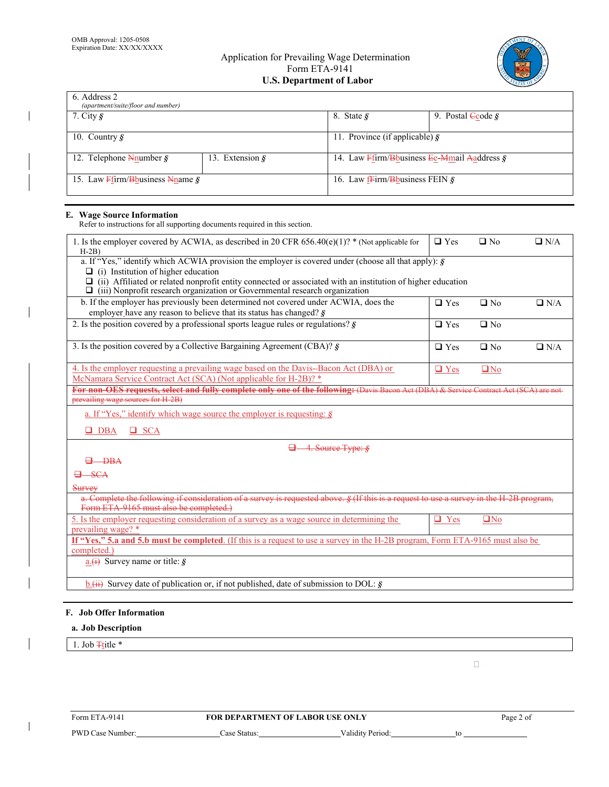$\overline{\phantom{a}}$ 

 $\mathsf{l}$ 

# Application for Prevailing Wage Determination Form ETA-9141 **U.S. Department of Labor**



| 6. Address 2<br>(apartment/suite/floor and number)    |                         |                                                         |                              |
|-------------------------------------------------------|-------------------------|---------------------------------------------------------|------------------------------|
| 7. City $\hat{\mathbf{S}}$                            |                         | 8. State $\hat{S}$                                      | 9. Postal $\angle$ code $\&$ |
| 10. Country $\hat{S}$                                 |                         | 11. Province (if applicable) $\hat{g}$                  |                              |
| 12. Telephone $\frac{N}{N}$ Telephone $\frac{N}{N}$   | 13. Extension $\hat{S}$ | 14. Law $F$ firm/B business Ee-M mail And dress $\zeta$ |                              |
| 15. Law $F$ firm/B business Nname $\hat{\mathcal{S}}$ |                         | 16. Law frim/B business FEIN $\hat{\mathbf{s}}$         |                              |

### **E. Wage Source Information**

Refer to instructions for all supporting documents required in this section.

| 1. Is the employer covered by ACWIA, as described in 20 CFR 656.40(e)(1)? * (Not applicable for<br>$H-2B$                                                                                                                                                                                                                                              | $\Box$ Yes | $\Box$ No       | $\Box$ N/A |
|--------------------------------------------------------------------------------------------------------------------------------------------------------------------------------------------------------------------------------------------------------------------------------------------------------------------------------------------------------|------------|-----------------|------------|
| a. If "Yes," identify which ACWIA provision the employer is covered under (choose all that apply): $\hat{g}$<br>(i) Institution of higher education<br>(ii) Affiliated or related nonprofit entity connected or associated with an institution of higher education<br>(iii) Nonprofit research organization or Governmental research organization<br>⊔ |            |                 |            |
| b. If the employer has previously been determined not covered under ACWIA, does the<br>employer have any reason to believe that its status has changed? $\hat{g}$                                                                                                                                                                                      | $\Box$ Yes | $\Box$ No       | $\Box$ N/A |
| 2. Is the position covered by a professional sports league rules or regulations? $\hat{\mathbf{S}}$                                                                                                                                                                                                                                                    | $\Box$ Yes | $\Box$ No       |            |
| 3. Is the position covered by a Collective Bargaining Agreement (CBA)? $\frac{1}{2}$                                                                                                                                                                                                                                                                   | $\Box$ Yes | $\square$ No    | $\Box$ N/A |
| 4. Is the employer requesting a prevailing wage based on the Davis-Bacon Act (DBA) or<br>McNamara Service Contract Act (SCA) (Not applicable for H-2B)? *                                                                                                                                                                                              | $\Box$ Yes | $\Box$ No       |            |
| For non-OES requests, select and fully complete only one of the following: (Davis Bacon Act (DBA) & Service Contract Act (SCA) are not<br>prevailing wage sources for H 2B)                                                                                                                                                                            |            |                 |            |
| a. If "Yes," identify which wage source the employer is requesting: $\hat{S}$                                                                                                                                                                                                                                                                          |            |                 |            |
| $\Box$ DBA<br>$\Box$ SCA                                                                                                                                                                                                                                                                                                                               |            |                 |            |
| $\Box$ 4. Source Type: $\oint$                                                                                                                                                                                                                                                                                                                         |            |                 |            |
| $\theta$ - DBA                                                                                                                                                                                                                                                                                                                                         |            |                 |            |
| $-SCA$                                                                                                                                                                                                                                                                                                                                                 |            |                 |            |
| Survey                                                                                                                                                                                                                                                                                                                                                 |            |                 |            |
| a. Complete the following if consideration of a survey is requested above. § (If this is a request to use a survey in the H-2B program,<br>Form ETA-9165 must also be completed.)                                                                                                                                                                      |            |                 |            |
| 5. Is the employer requesting consideration of a survey as a wage source in determining the<br>prevailing wage? *                                                                                                                                                                                                                                      | $\Box$ Yes | QN <sub>0</sub> |            |
| If "Yes," 5.a and 5.b must be completed. (If this is a request to use a survey in the H-2B program, Form ETA-9165 must also be<br>completed.)                                                                                                                                                                                                          |            |                 |            |
| $\underline{\mathbf{a} \cdot (\mathbf{t})}$ Survey name or title: $\hat{\mathbf{g}}$                                                                                                                                                                                                                                                                   |            |                 |            |
| $\underline{b.}$ Survey date of publication or, if not published, date of submission to DOL: §                                                                                                                                                                                                                                                         |            |                 |            |

# **F. Job Offer Information**

## **a. Job Description**

1. Job  $\frac{1}{1}$ title \*

 $\mathbf{I}$ 

 $\Box$ 

| Form ETA-9141    | <b>FOR DEPARTMENT OF LABOR USE ONLY</b> |                  | Page 2 of |
|------------------|-----------------------------------------|------------------|-----------|
| PWD Case Number: | `ase Status:                            | Validity Period: | te        |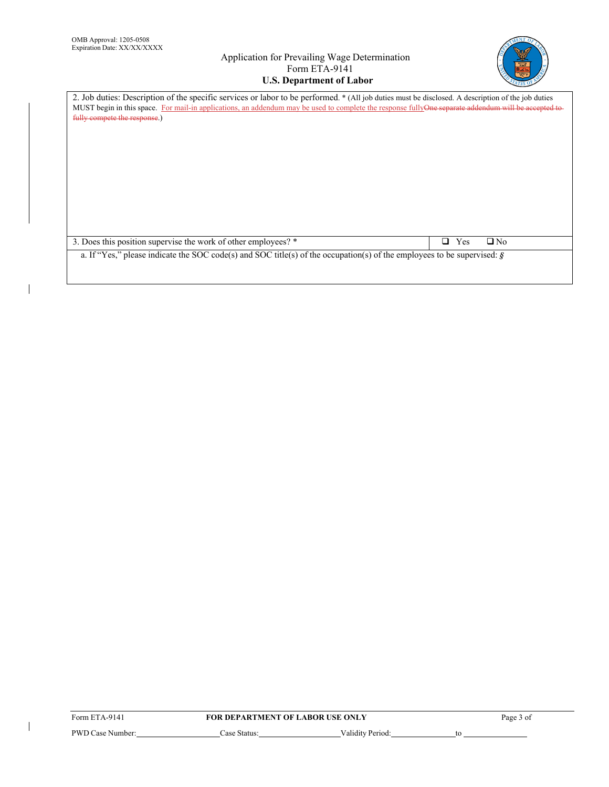$\overline{1}$ 

 $\begin{array}{c} \hline \end{array}$ 

# Application for Prevailing Wage Determination Form ETA-9141 **U.S. Department of Labor**



| 2. Job duties: Description of the specific services or labor to be performed. * (All job duties must be disclosed. A description of the job duties   |                       |
|------------------------------------------------------------------------------------------------------------------------------------------------------|-----------------------|
| MUST begin in this space. For mail-in applications, an addendum may be used to complete the response fullyOne separate addendum will be accepted to- |                       |
| fully compete the response.)                                                                                                                         |                       |
|                                                                                                                                                      |                       |
|                                                                                                                                                      |                       |
|                                                                                                                                                      |                       |
|                                                                                                                                                      |                       |
|                                                                                                                                                      |                       |
|                                                                                                                                                      |                       |
|                                                                                                                                                      |                       |
|                                                                                                                                                      |                       |
|                                                                                                                                                      |                       |
|                                                                                                                                                      |                       |
|                                                                                                                                                      |                       |
|                                                                                                                                                      |                       |
|                                                                                                                                                      |                       |
|                                                                                                                                                      |                       |
| 3. Does this position supervise the work of other employees? *                                                                                       | $\Box$ No<br>Yes<br>П |
| a. If "Yes," please indicate the SOC code(s) and SOC title(s) of the occupation(s) of the employees to be supervised: $\zeta$                        |                       |
|                                                                                                                                                      |                       |
|                                                                                                                                                      |                       |

| Form ETA-9141    | <b>FOR DEPARTMENT OF LABOR USE ONLY</b> |                  | Page 3 of |  |
|------------------|-----------------------------------------|------------------|-----------|--|
| PWD Case Number: | Case Status:                            | Validity Period: |           |  |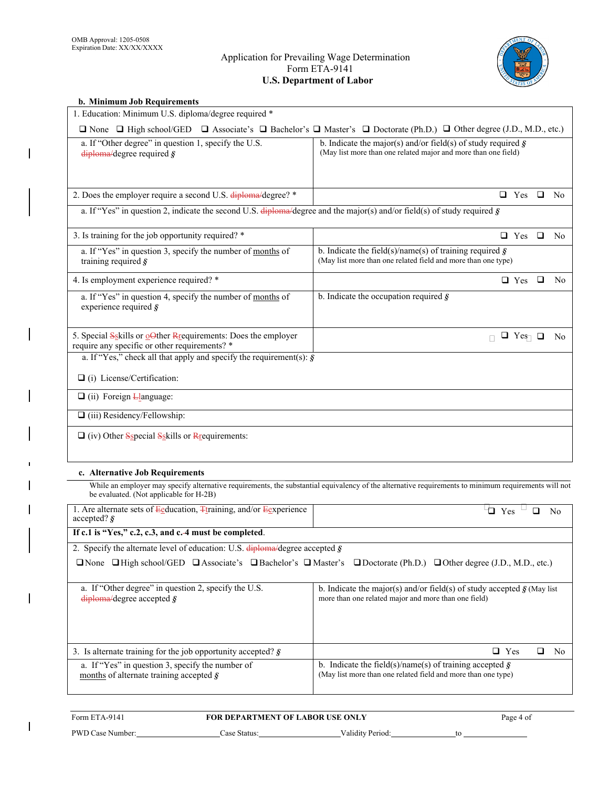$\mathbf I$ 

# Application for Prevailing Wage Determination Form ETA-9141 **U.S. Department of Labor**



| b. Minimum Job Requirements                                                                                                    |                                                                                                                                                         |  |
|--------------------------------------------------------------------------------------------------------------------------------|---------------------------------------------------------------------------------------------------------------------------------------------------------|--|
| 1. Education: Minimum U.S. diploma/degree required *                                                                           |                                                                                                                                                         |  |
|                                                                                                                                | $\Box$ None $\Box$ High school/GED $\Box$ Associate's $\Box$ Bachelor's $\Box$ Master's $\Box$ Doctorate (Ph.D.) $\Box$ Other degree (J.D., M.D., etc.) |  |
| a. If "Other degree" in question 1, specify the U.S.<br>$diploma/degree$ required $\hat{g}$                                    | b. Indicate the major(s) and/or field(s) of study required $\hat{S}$<br>(May list more than one related major and more than one field)                  |  |
| 2. Does the employer require a second U.S. diploma/degree? *                                                                   | $\Box$ Yes $\Box$ No                                                                                                                                    |  |
| a. If "Yes" in question 2, indicate the second U.S. $\frac{d}{dp}$ degree and the major(s) and/or field(s) of study required § |                                                                                                                                                         |  |
| 3. Is training for the job opportunity required? *                                                                             | $\Box$ Yes $\Box$ No                                                                                                                                    |  |
| a. If "Yes" in question 3, specify the number of months of<br>training required $\boldsymbol{\hat{S}}$                         | b. Indicate the field(s)/name(s) of training required $\hat{S}$<br>(May list more than one related field and more than one type)                        |  |
| 4. Is employment experience required? *                                                                                        | $\Box$ Yes $\Box$<br>N <sub>0</sub>                                                                                                                     |  |
| a. If "Yes" in question 4, specify the number of months of<br>experience required $\hat{g}$                                    | b. Indicate the occupation required $\hat{g}$                                                                                                           |  |
| 5. Special Sskills or oOther Repartments: Does the employer<br>require any specific or other requirements? *                   | $\Box$ Yes $\Box$<br>N <sub>o</sub><br>П.                                                                                                               |  |
| a. If "Yes," check all that apply and specify the requirement(s): $\hat{S}$                                                    |                                                                                                                                                         |  |
| $\Box$ (i) License/Certification:                                                                                              |                                                                                                                                                         |  |
| $\Box$ (ii) Foreign $L$ anguage:                                                                                               |                                                                                                                                                         |  |
| $\Box$ (iii) Residency/Fellowship:                                                                                             |                                                                                                                                                         |  |
| $\Box$ (iv) Other Sspecial Sskills or Requirements:                                                                            |                                                                                                                                                         |  |
| c. Alternative Job Requirements                                                                                                |                                                                                                                                                         |  |
| be evaluated. (Not applicable for H-2B)                                                                                        | While an employer may specify alternative requirements, the substantial equivalency of the alternative requirements to minimum requirements will not    |  |
| 1. Are alternate sets of Eeducation, Ttraining, and/or Eexperience<br>accepted? $\hat{\mathbf{s}}$                             | $\overline{a}$ Yes $\overline{a}$<br>$\mathbf{N}$ o                                                                                                     |  |
| If c.1 is "Yes," c.2, c.3, and c.-4 must be completed.                                                                         |                                                                                                                                                         |  |
| 2. Specify the alternate level of education: U.S. $\frac{diploma}{deg$ ree accepted §                                          |                                                                                                                                                         |  |
|                                                                                                                                | <b>ONone</b> OHigh school/GED CAssociate's CBachelor's CMaster's CDoctorate (Ph.D.) COther degree (J.D., M.D., etc.)                                    |  |
| a. If "Other degree" in question 2, specify the U.S.                                                                           | b. Indicate the major(s) and/or field(s) of study accepted $\mathcal{S}$ (May list                                                                      |  |

| $diploma/degree$ accepted $\hat{g}$                                                                 | more than one related major and more than one field)                                                                             |
|-----------------------------------------------------------------------------------------------------|----------------------------------------------------------------------------------------------------------------------------------|
| 3. Is alternate training for the job opportunity accepted? $\zeta$                                  | $\Box$ Yes<br>Nο                                                                                                                 |
| a. If "Yes" in question 3, specify the number of<br>months of alternate training accepted $\hat{S}$ | b. Indicate the field(s)/name(s) of training accepted $\hat{g}$<br>(May list more than one related field and more than one type) |

| Form ETA-9141    | <b>FOR DEPARTMENT OF LABOR USE ONLY</b> |                  | Page 4 of |
|------------------|-----------------------------------------|------------------|-----------|
| PWD Case Number: | Case Status:                            | Validity Period: |           |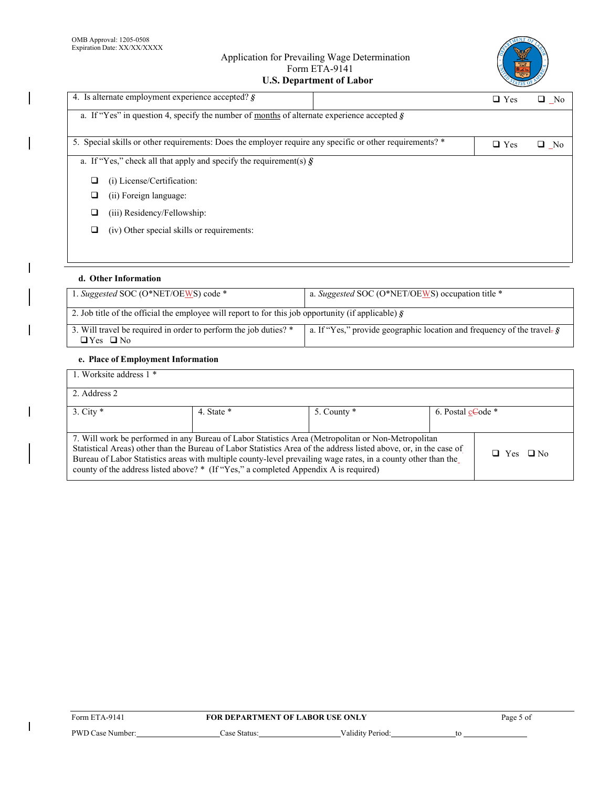# Application for Prevailing Wage Determination Form ETA-9141 **U.S. Department of Labor**



| 4. Is alternate employment experience accepted? $\zeta$                                                  | $\Box$ Yes | $\Box$ No    |
|----------------------------------------------------------------------------------------------------------|------------|--------------|
| a. If "Yes" in question 4, specify the number of months of alternate experience accepted $\zeta$         |            |              |
| 5. Special skills or other requirements: Does the employer require any specific or other requirements? * | $\Box$ Yes | $\square$ No |
| a. If "Yes," check all that apply and specify the requirement(s) $\hat{S}$                               |            |              |
| (i) License/Certification:<br>□                                                                          |            |              |
| (ii) Foreign language:<br>□                                                                              |            |              |
| (iii) Residency/Fellowship:<br>O                                                                         |            |              |
| (iv) Other special skills or requirements:<br>o                                                          |            |              |
|                                                                                                          |            |              |
|                                                                                                          |            |              |

## **d. Other Information**

 $\overline{\phantom{a}}$ 

 $\overline{\phantom{a}}$ 

 $\overline{\phantom{a}}$ 

 $\overline{1}$ 

| 1. Suggested SOC (O*NET/OEWS) code *                                                                        | a. Suggested SOC (O*NET/OEWS) occupation title *                                         |  |  |  |
|-------------------------------------------------------------------------------------------------------------|------------------------------------------------------------------------------------------|--|--|--|
| 2. Job title of the official the employee will report to for this job opportunity (if applicable) $\hat{g}$ |                                                                                          |  |  |  |
| 3. Will travel be required in order to perform the job duties? *<br>$\Box$ Yes $\Box$ No                    | a. If "Yes," provide geographic location and frequency of the travel- $\hat{\mathbf{g}}$ |  |  |  |

# **e. Place of Employment Information**

| 1. Worksite address 1 *                                                                                                                                                                                                                                                                                                                                                                                                                                  |              |             |                   |  |  |
|----------------------------------------------------------------------------------------------------------------------------------------------------------------------------------------------------------------------------------------------------------------------------------------------------------------------------------------------------------------------------------------------------------------------------------------------------------|--------------|-------------|-------------------|--|--|
| 2. Address 2                                                                                                                                                                                                                                                                                                                                                                                                                                             |              |             |                   |  |  |
| $3.$ City $*$                                                                                                                                                                                                                                                                                                                                                                                                                                            | 4. State $*$ | 5. County * | 6. Postal cCode * |  |  |
| 7. Will work be performed in any Bureau of Labor Statistics Area (Metropolitan or Non-Metropolitan<br>Statistical Areas) other than the Bureau of Labor Statistics Area of the address listed above, or, in the case of<br>$\Box$ Yes $\Box$ No<br>Bureau of Labor Statistics areas with multiple county-level prevailing wage rates, in a county other than the<br>county of the address listed above? * (If "Yes," a completed Appendix A is required) |              |             |                   |  |  |

| Form ETA-9141    | <b>FOR DEPARTMENT OF LABOR USE ONLY</b> |                  |    |
|------------------|-----------------------------------------|------------------|----|
| PWD Case Number: | Case Status:                            | Validity Period: | tο |